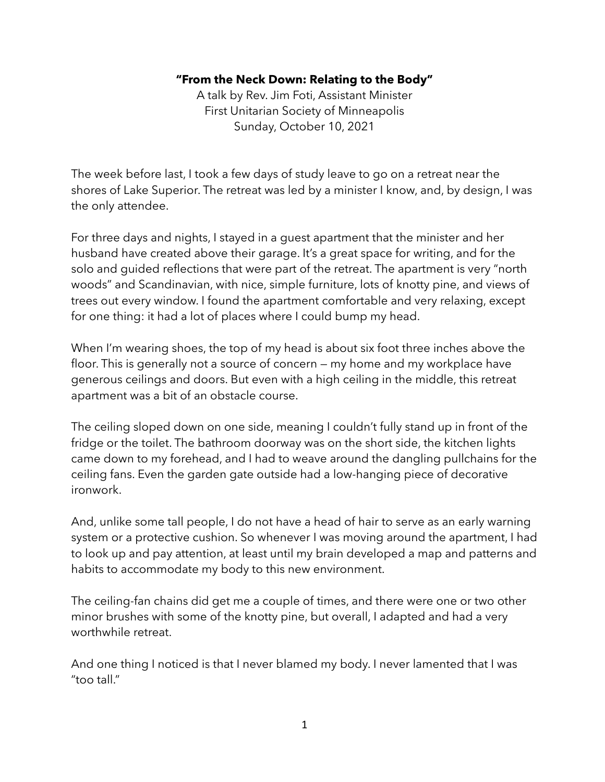## **"From the Neck Down: Relating to the Body"**

A talk by Rev. Jim Foti, Assistant Minister First Unitarian Society of Minneapolis Sunday, October 10, 2021

The week before last, I took a few days of study leave to go on a retreat near the shores of Lake Superior. The retreat was led by a minister I know, and, by design, I was the only attendee.

For three days and nights, I stayed in a guest apartment that the minister and her husband have created above their garage. It's a great space for writing, and for the solo and guided reflections that were part of the retreat. The apartment is very "north woods" and Scandinavian, with nice, simple furniture, lots of knotty pine, and views of trees out every window. I found the apartment comfortable and very relaxing, except for one thing: it had a lot of places where I could bump my head.

When I'm wearing shoes, the top of my head is about six foot three inches above the floor. This is generally not a source of concern — my home and my workplace have generous ceilings and doors. But even with a high ceiling in the middle, this retreat apartment was a bit of an obstacle course.

The ceiling sloped down on one side, meaning I couldn't fully stand up in front of the fridge or the toilet. The bathroom doorway was on the short side, the kitchen lights came down to my forehead, and I had to weave around the dangling pullchains for the ceiling fans. Even the garden gate outside had a low-hanging piece of decorative ironwork.

And, unlike some tall people, I do not have a head of hair to serve as an early warning system or a protective cushion. So whenever I was moving around the apartment, I had to look up and pay attention, at least until my brain developed a map and patterns and habits to accommodate my body to this new environment.

The ceiling-fan chains did get me a couple of times, and there were one or two other minor brushes with some of the knotty pine, but overall, I adapted and had a very worthwhile retreat.

And one thing I noticed is that I never blamed my body. I never lamented that I was "too tall."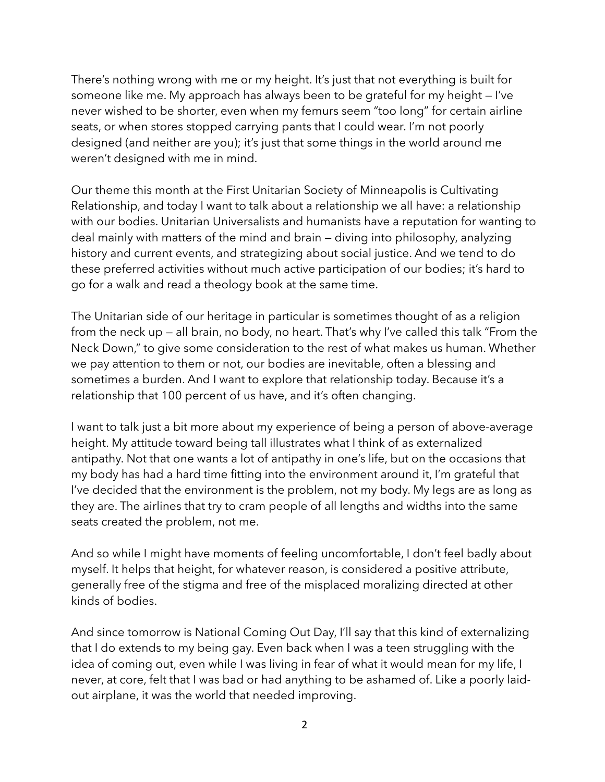There's nothing wrong with me or my height. It's just that not everything is built for someone like me. My approach has always been to be grateful for my height — I've never wished to be shorter, even when my femurs seem "too long" for certain airline seats, or when stores stopped carrying pants that I could wear. I'm not poorly designed (and neither are you); it's just that some things in the world around me weren't designed with me in mind.

Our theme this month at the First Unitarian Society of Minneapolis is Cultivating Relationship, and today I want to talk about a relationship we all have: a relationship with our bodies. Unitarian Universalists and humanists have a reputation for wanting to deal mainly with matters of the mind and brain — diving into philosophy, analyzing history and current events, and strategizing about social justice. And we tend to do these preferred activities without much active participation of our bodies; it's hard to go for a walk and read a theology book at the same time.

The Unitarian side of our heritage in particular is sometimes thought of as a religion from the neck up — all brain, no body, no heart. That's why I've called this talk "From the Neck Down," to give some consideration to the rest of what makes us human. Whether we pay attention to them or not, our bodies are inevitable, often a blessing and sometimes a burden. And I want to explore that relationship today. Because it's a relationship that 100 percent of us have, and it's often changing.

I want to talk just a bit more about my experience of being a person of above-average height. My attitude toward being tall illustrates what I think of as externalized antipathy. Not that one wants a lot of antipathy in one's life, but on the occasions that my body has had a hard time fitting into the environment around it, I'm grateful that I've decided that the environment is the problem, not my body. My legs are as long as they are. The airlines that try to cram people of all lengths and widths into the same seats created the problem, not me.

And so while I might have moments of feeling uncomfortable, I don't feel badly about myself. It helps that height, for whatever reason, is considered a positive attribute, generally free of the stigma and free of the misplaced moralizing directed at other kinds of bodies.

And since tomorrow is National Coming Out Day, I'll say that this kind of externalizing that I do extends to my being gay. Even back when I was a teen struggling with the idea of coming out, even while I was living in fear of what it would mean for my life, I never, at core, felt that I was bad or had anything to be ashamed of. Like a poorly laidout airplane, it was the world that needed improving.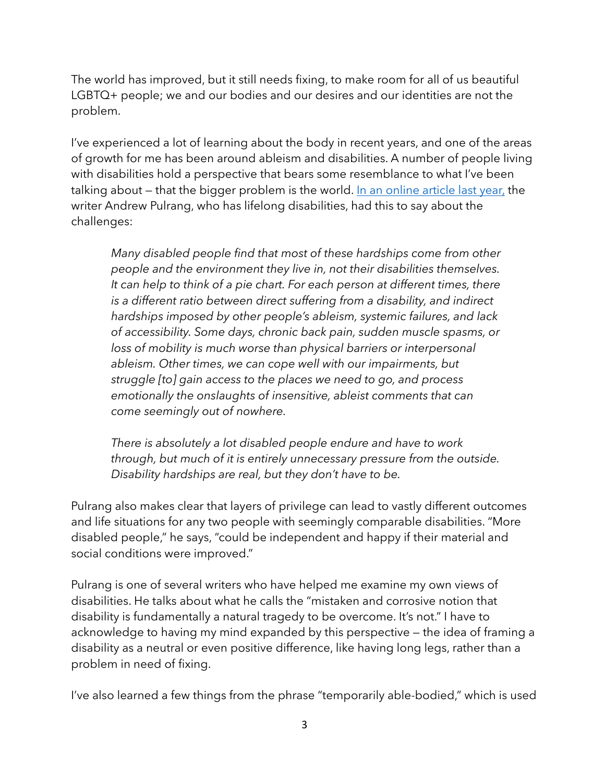The world has improved, but it still needs fixing, to make room for all of us beautiful LGBTQ+ people; we and our bodies and our desires and our identities are not the problem.

I've experienced a lot of learning about the body in recent years, and one of the areas of growth for me has been around ableism and disabilities. A number of people living with disabilities hold a perspective that bears some resemblance to what I've been talking about — that the bigger problem is the world. [In an online article last year,](https://www.forbes.com/sites/andrewpulrang/2020/07/20/5-things-everyone-should-know-about-people-with-disabilities/?sh=5e5286597ba5) the writer Andrew Pulrang, who has lifelong disabilities, had this to say about the challenges:

*Many disabled people find that most of these hardships come from other people and the environment they live in, not their disabilities themselves. It can help to think of a pie chart. For each person at different times, there is a different ratio between direct suffering from a disability, and indirect hardships imposed by other people's ableism, systemic failures, and lack of accessibility. Some days, chronic back pain, sudden muscle spasms, or loss of mobility is much worse than physical barriers or interpersonal ableism. Other times, we can cope well with our impairments, but struggle [to] gain access to the places we need to go, and process emotionally the onslaughts of insensitive, ableist comments that can come seemingly out of nowhere.*

*There is absolutely a lot disabled people endure and have to work through, but much of it is entirely unnecessary pressure from the outside. Disability hardships are real, but they don't have to be.*

Pulrang also makes clear that layers of privilege can lead to vastly different outcomes and life situations for any two people with seemingly comparable disabilities. "More disabled people," he says, "could be independent and happy if their material and social conditions were improved."

Pulrang is one of several writers who have helped me examine my own views of disabilities. He talks about what he calls the "mistaken and corrosive notion that disability is fundamentally a natural tragedy to be overcome. It's not." I have to acknowledge to having my mind expanded by this perspective — the idea of framing a disability as a neutral or even positive difference, like having long legs, rather than a problem in need of fixing.

I've also learned a few things from the phrase "temporarily able-bodied," which is used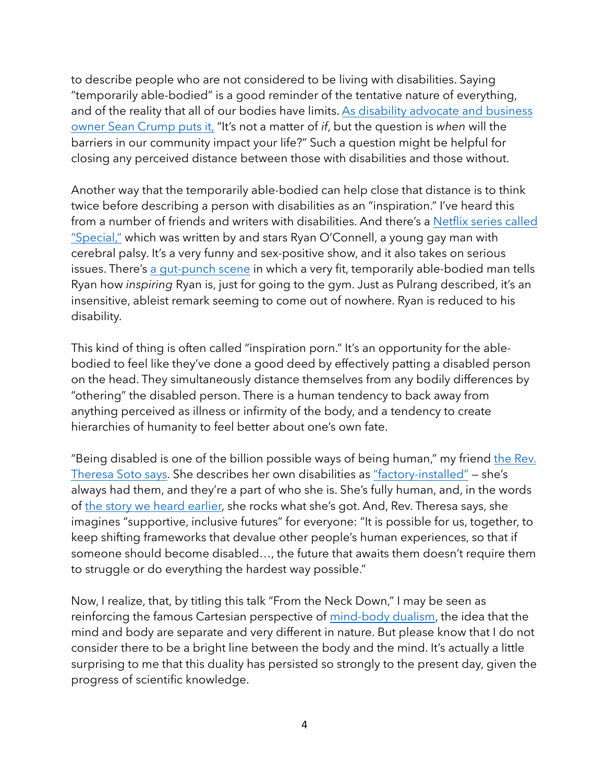to describe people who are not considered to be living with disabilities. Saying "temporarily able-bodied" is a good reminder of the tentative nature of everything, and of the reality that all of our bodies have limits. [As disability advocate and business](https://youtu.be/lFYWdbFsUw0)  [owner Sean Crump puts it,](https://youtu.be/lFYWdbFsUw0) "It's not a matter of *if*, but the question is *when* will the barriers in our community impact your life?" Such a question might be helpful for closing any perceived distance between those with disabilities and those without.

Another way that the temporarily able-bodied can help close that distance is to think twice before describing a person with disabilities as an "inspiration." I've heard this from a number of friends and writers with disabilities. And there's a [Netflix series called](https://www.netflix.com/title/80987458)  ["Special,"](https://www.netflix.com/title/80987458) which was written by and stars Ryan O'Connell, a young gay man with cerebral palsy. It's a very funny and sex-positive show, and it also takes on serious issues. There's [a gut-punch scene](https://youtu.be/L44wjEGibbM?t=10) in which a very fit, temporarily able-bodied man tells Ryan how *inspiring* Ryan is, just for going to the gym. Just as Pulrang described, it's an insensitive, ableist remark seeming to come out of nowhere. Ryan is reduced to his disability.

This kind of thing is often called "inspiration porn." It's an opportunity for the ablebodied to feel like they've done a good deed by effectively patting a disabled person on the head. They simultaneously distance themselves from any bodily differences by "othering" the disabled person. There is a human tendency to back away from anything perceived as illness or infirmity of the body, and a tendency to create hierarchies of humanity to feel better about one's own fate.

"Being disabled is one of the billion possible ways of being human," my friend the Rev. [Theresa Soto says](https://medium.com/@titasoto/being-disabled-the-temple-i-can-hardly-2eeece89c0f8). She describes her own disabilities as ["factory-installed"](https://www.uuworld.org/articles/bodily-differences-factory-installed) — she's always had them, and they're a part of who she is. She's fully human, and, in the words of [the story we heard earlier,](https://www.youtube.com/watch?v=Hs44juuFBtw) she rocks what she's got. And, Rev. Theresa says, she imagines "supportive, inclusive futures" for everyone: "It is possible for us, together, to keep shifting frameworks that devalue other people's human experiences, so that if someone should become disabled…, the future that awaits them doesn't require them to struggle or do everything the hardest way possible."

Now, I realize, that, by titling this talk "From the Neck Down," I may be seen as reinforcing the famous Cartesian perspective of [mind-body dualism](https://plato.stanford.edu/entries/dualism/), the idea that the mind and body are separate and very different in nature. But please know that I do not consider there to be a bright line between the body and the mind. It's actually a little surprising to me that this duality has persisted so strongly to the present day, given the progress of scientific knowledge.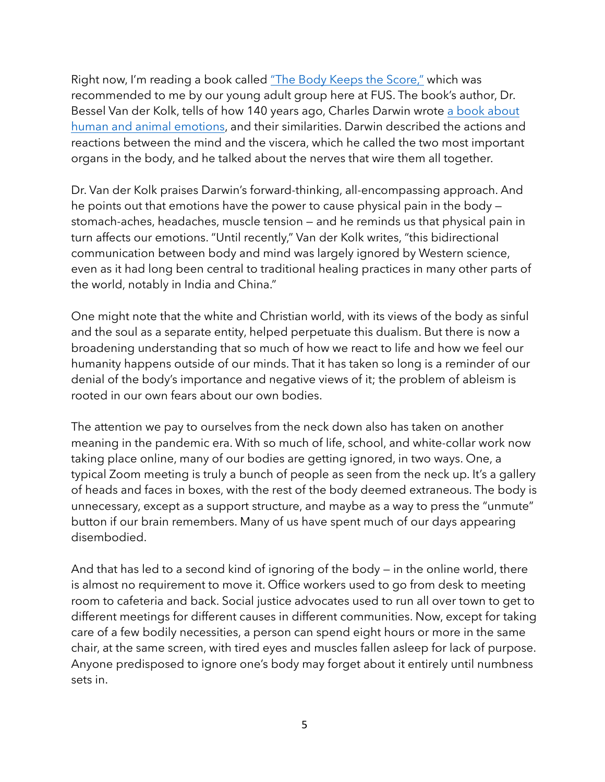Right now, I'm reading a book called ["The Body Keeps the Score,"](https://www.penguinrandomhouse.com/books/313183/the-body-keeps-the-score-by-bessel-van-der-kolk-md/) which was recommended to me by our young adult group here at FUS. The book's author, Dr. Bessel Van der Kolk, tells of how 140 years ago, Charles Darwin wrote [a book about](https://en.wikipedia.org/wiki/The_Expression_of_the_Emotions_in_Man_and_Animals)  [human and animal emotions,](https://en.wikipedia.org/wiki/The_Expression_of_the_Emotions_in_Man_and_Animals) and their similarities. Darwin described the actions and reactions between the mind and the viscera, which he called the two most important organs in the body, and he talked about the nerves that wire them all together.

Dr. Van der Kolk praises Darwin's forward-thinking, all-encompassing approach. And he points out that emotions have the power to cause physical pain in the body stomach-aches, headaches, muscle tension — and he reminds us that physical pain in turn affects our emotions. "Until recently," Van der Kolk writes, "this bidirectional communication between body and mind was largely ignored by Western science, even as it had long been central to traditional healing practices in many other parts of the world, notably in India and China."

One might note that the white and Christian world, with its views of the body as sinful and the soul as a separate entity, helped perpetuate this dualism. But there is now a broadening understanding that so much of how we react to life and how we feel our humanity happens outside of our minds. That it has taken so long is a reminder of our denial of the body's importance and negative views of it; the problem of ableism is rooted in our own fears about our own bodies.

The attention we pay to ourselves from the neck down also has taken on another meaning in the pandemic era. With so much of life, school, and white-collar work now taking place online, many of our bodies are getting ignored, in two ways. One, a typical Zoom meeting is truly a bunch of people as seen from the neck up. It's a gallery of heads and faces in boxes, with the rest of the body deemed extraneous. The body is unnecessary, except as a support structure, and maybe as a way to press the "unmute" button if our brain remembers. Many of us have spent much of our days appearing disembodied.

And that has led to a second kind of ignoring of the body — in the online world, there is almost no requirement to move it. Office workers used to go from desk to meeting room to cafeteria and back. Social justice advocates used to run all over town to get to different meetings for different causes in different communities. Now, except for taking care of a few bodily necessities, a person can spend eight hours or more in the same chair, at the same screen, with tired eyes and muscles fallen asleep for lack of purpose. Anyone predisposed to ignore one's body may forget about it entirely until numbness sets in.